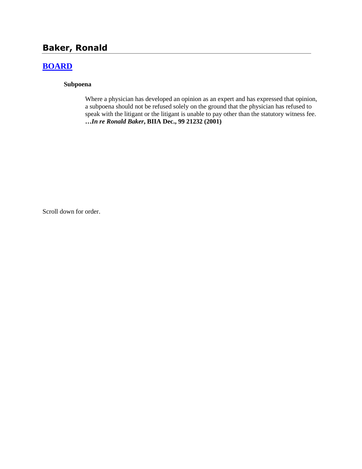# **Baker, Ronald**

## **[BOARD](http://www.biia.wa.gov/SDSubjectIndex.html#BOARD)**

### **Subpoena**

Where a physician has developed an opinion as an expert and has expressed that opinion, a subpoena should not be refused solely on the ground that the physician has refused to speak with the litigant or the litigant is unable to pay other than the statutory witness fee. **…***In re Ronald Baker***, BIIA Dec., 99 21232 (2001)**

Scroll down for order.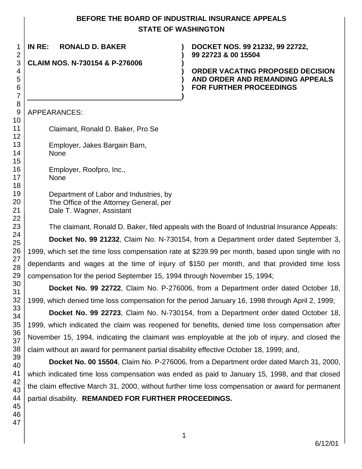## **BEFORE THE BOARD OF INDUSTRIAL INSURANCE APPEALS STATE OF WASHINGTON**

**)**

**) ) )**

**)**

| 1                          | I                       |
|----------------------------|-------------------------|
|                            |                         |
| 234567                     | $\overline{\mathbf{C}}$ |
|                            |                         |
|                            |                         |
|                            |                         |
|                            |                         |
| 8                          |                         |
| 9                          |                         |
|                            |                         |
|                            |                         |
|                            |                         |
| 11123456789012222222222331 |                         |
|                            |                         |
|                            |                         |
|                            |                         |
|                            |                         |
|                            |                         |
|                            |                         |
|                            |                         |
|                            |                         |
|                            |                         |
|                            |                         |
|                            |                         |
|                            |                         |
|                            |                         |
|                            | C                       |
|                            |                         |
|                            |                         |
| 32                         |                         |
| €<br>33                    |                         |
| 34                         |                         |
| 35                         | 1                       |
| 36                         | ľ                       |
| 37                         |                         |
| 38<br>39                   |                         |
| 40                         |                         |
| 41                         |                         |
| 42                         |                         |
| 43                         | t                       |
| 44                         | ŗ                       |
| 45                         |                         |
| 46                         |                         |
| 47                         |                         |

**IN RE: RONALD D. BAKER )**

**CLAIM NOS. N-730154 & P-276006 )**

**DOCKET NOS. 99 21232, 99 22722, 99 22723 & 00 15504**

**ORDER VACATING PROPOSED DECISION AND ORDER AND REMANDING APPEALS FOR FURTHER PROCEEDINGS**

APPEARANCES:

Claimant, Ronald D. Baker, Pro Se

Employer, Jakes Bargain Barn, None

Employer, Roofpro, Inc., None

Department of Labor and Industries, by The Office of the Attorney General, per Dale T. Wagner, Assistant

The claimant, Ronald D. Baker, filed appeals with the Board of Industrial Insurance Appeals:

**Docket No. 99 21232**, Claim No. N-730154, from a Department order dated September 3, 1999, which set the time loss compensation rate at \$239.99 per month, based upon single with no dependants and wages at the time of injury of \$150 per month, and that provided time loss compensation for the period September 15, 1994 through November 15, 1994;

**Docket No. 99 22722**, Claim No. P-276006, from a Department order dated October 18, 1999, which denied time loss compensation for the period January 16, 1998 through April 2, 1999;

**Docket No. 99 22723**, Claim No. N-730154, from a Department order dated October 18, 1999, which indicated the claim was reopened for benefits, denied time loss compensation after November 15, 1994, indicating the claimant was employable at the job of injury, and closed the claim without an award for permanent partial disability effective October 18, 1999; and,

**Docket No. 00 15504**, Claim No. P-276006, from a Department order dated March 31, 2000, which indicated time loss compensation was ended as paid to January 15, 1998, and that closed the claim effective March 31, 2000, without further time loss compensation or award for permanent partial disability. **REMANDED FOR FURTHER PROCEEDINGS.**

1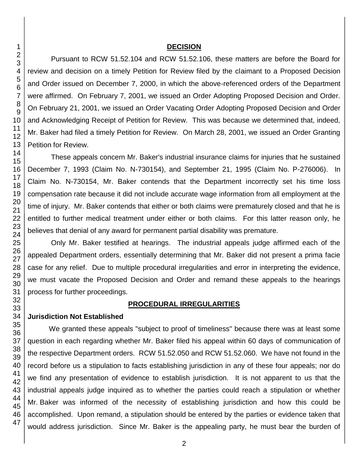#### **DECISION**

Pursuant to RCW 51.52.104 and RCW 51.52.106, these matters are before the Board for review and decision on a timely Petition for Review filed by the claimant to a Proposed Decision and Order issued on December 7, 2000, in which the above-referenced orders of the Department were affirmed. On February 7, 2001, we issued an Order Adopting Proposed Decision and Order. On February 21, 2001, we issued an Order Vacating Order Adopting Proposed Decision and Order and Acknowledging Receipt of Petition for Review. This was because we determined that, indeed, Mr. Baker had filed a timely Petition for Review. On March 28, 2001, we issued an Order Granting Petition for Review.

These appeals concern Mr. Baker's industrial insurance claims for injuries that he sustained December 7, 1993 (Claim No. N-730154), and September 21, 1995 (Claim No. P-276006). In Claim No. N-730154, Mr. Baker contends that the Department incorrectly set his time loss compensation rate because it did not include accurate wage information from all employment at the time of injury. Mr. Baker contends that either or both claims were prematurely closed and that he is entitled to further medical treatment under either or both claims. For this latter reason only, he believes that denial of any award for permanent partial disability was premature.

Only Mr. Baker testified at hearings. The industrial appeals judge affirmed each of the appealed Department orders, essentially determining that Mr. Baker did not present a prima facie case for any relief. Due to multiple procedural irregularities and error in interpreting the evidence, we must vacate the Proposed Decision and Order and remand these appeals to the hearings process for further proceedings.

#### **PROCEDURAL IRREGULARITIES**

#### **Jurisdiction Not Established**

We granted these appeals "subject to proof of timeliness" because there was at least some question in each regarding whether Mr. Baker filed his appeal within 60 days of communication of the respective Department orders. RCW 51.52.050 and RCW 51.52.060. We have not found in the record before us a stipulation to facts establishing jurisdiction in any of these four appeals; nor do we find any presentation of evidence to establish jurisdiction. It is not apparent to us that the industrial appeals judge inquired as to whether the parties could reach a stipulation or whether Mr. Baker was informed of the necessity of establishing jurisdiction and how this could be accomplished. Upon remand, a stipulation should be entered by the parties or evidence taken that would address jurisdiction. Since Mr. Baker is the appealing party, he must bear the burden of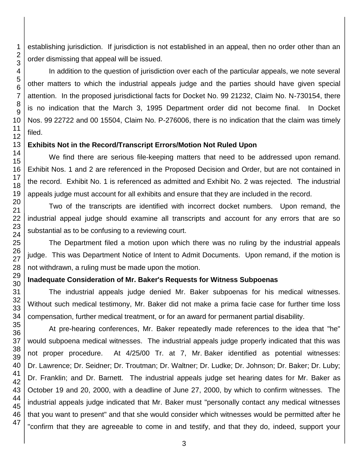establishing jurisdiction. If jurisdiction is not established in an appeal, then no order other than an order dismissing that appeal will be issued.

In addition to the question of jurisdiction over each of the particular appeals, we note several other matters to which the industrial appeals judge and the parties should have given special attention. In the proposed jurisdictional facts for Docket No. 99 21232, Claim No. N-730154, there is no indication that the March 3, 1995 Department order did not become final. In Docket Nos. 99 22722 and 00 15504, Claim No. P-276006, there is no indication that the claim was timely filed.

### **Exhibits Not in the Record/Transcript Errors/Motion Not Ruled Upon**

We find there are serious file-keeping matters that need to be addressed upon remand. Exhibit Nos. 1 and 2 are referenced in the Proposed Decision and Order, but are not contained in the record. Exhibit No. 1 is referenced as admitted and Exhibit No. 2 was rejected. The industrial appeals judge must account for all exhibits and ensure that they are included in the record.

Two of the transcripts are identified with incorrect docket numbers. Upon remand, the industrial appeal judge should examine all transcripts and account for any errors that are so substantial as to be confusing to a reviewing court.

The Department filed a motion upon which there was no ruling by the industrial appeals judge. This was Department Notice of Intent to Admit Documents. Upon remand, if the motion is not withdrawn, a ruling must be made upon the motion.

### **Inadequate Consideration of Mr. Baker's Requests for Witness Subpoenas**

The industrial appeals judge denied Mr. Baker subpoenas for his medical witnesses. Without such medical testimony, Mr. Baker did not make a prima facie case for further time loss compensation, further medical treatment, or for an award for permanent partial disability.

At pre-hearing conferences, Mr. Baker repeatedly made references to the idea that "he" would subpoena medical witnesses. The industrial appeals judge properly indicated that this was not proper procedure. At 4/25/00 Tr. at 7, Mr. Baker identified as potential witnesses: Dr. Lawrence; Dr. Seidner; Dr. Troutman; Dr. Waltner; Dr. Ludke; Dr. Johnson; Dr. Baker; Dr. Luby; Dr. Franklin; and Dr. Barnett. The industrial appeals judge set hearing dates for Mr. Baker as October 19 and 20, 2000, with a deadline of June 27, 2000, by which to confirm witnesses. The industrial appeals judge indicated that Mr. Baker must "personally contact any medical witnesses that you want to present" and that she would consider which witnesses would be permitted after he "confirm that they are agreeable to come in and testify, and that they do, indeed, support your

1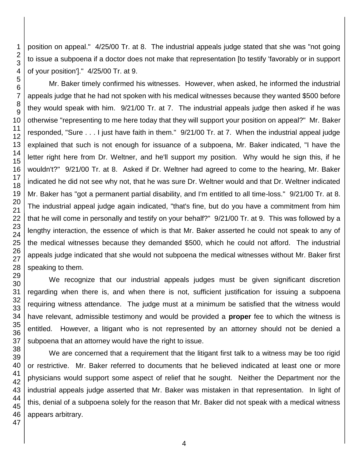position on appeal." 4/25/00 Tr. at 8. The industrial appeals judge stated that she was "not going to issue a subpoena if a doctor does not make that representation [to testify 'favorably or in support of your position']." 4/25/00 Tr. at 9.

Mr. Baker timely confirmed his witnesses. However, when asked, he informed the industrial appeals judge that he had not spoken with his medical witnesses because they wanted \$500 before they would speak with him. 9/21/00 Tr. at 7. The industrial appeals judge then asked if he was otherwise "representing to me here today that they will support your position on appeal?" Mr. Baker responded, "Sure . . . I just have faith in them." 9/21/00 Tr. at 7. When the industrial appeal judge explained that such is not enough for issuance of a subpoena, Mr. Baker indicated, "I have the letter right here from Dr. Weltner, and he'll support my position. Why would he sign this, if he wouldn't?" 9/21/00 Tr. at 8. Asked if Dr. Weltner had agreed to come to the hearing, Mr. Baker indicated he did not see why not, that he was sure Dr. Weltner would and that Dr. Weltner indicated Mr. Baker has "got a permanent partial disability, and I'm entitled to all time-loss." 9/21/00 Tr. at 8. The industrial appeal judge again indicated, "that's fine, but do you have a commitment from him that he will come in personally and testify on your behalf?" 9/21/00 Tr. at 9. This was followed by a lengthy interaction, the essence of which is that Mr. Baker asserted he could not speak to any of the medical witnesses because they demanded \$500, which he could not afford. The industrial appeals judge indicated that she would not subpoena the medical witnesses without Mr. Baker first speaking to them.

We recognize that our industrial appeals judges must be given significant discretion regarding when there is, and when there is not, sufficient justification for issuing a subpoena requiring witness attendance. The judge must at a minimum be satisfied that the witness would have relevant, admissible testimony and would be provided a **proper** fee to which the witness is entitled. However, a litigant who is not represented by an attorney should not be denied a subpoena that an attorney would have the right to issue.

We are concerned that a requirement that the litigant first talk to a witness may be too rigid or restrictive. Mr. Baker referred to documents that he believed indicated at least one or more physicians would support some aspect of relief that he sought. Neither the Department nor the industrial appeals judge asserted that Mr. Baker was mistaken in that representation. In light of this, denial of a subpoena solely for the reason that Mr. Baker did not speak with a medical witness appears arbitrary.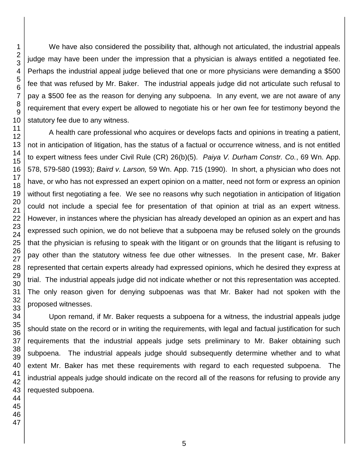We have also considered the possibility that, although not articulated, the industrial appeals judge may have been under the impression that a physician is always entitled a negotiated fee. Perhaps the industrial appeal judge believed that one or more physicians were demanding a \$500 fee that was refused by Mr. Baker. The industrial appeals judge did not articulate such refusal to pay a \$500 fee as the reason for denying any subpoena. In any event, we are not aware of any requirement that every expert be allowed to negotiate his or her own fee for testimony beyond the statutory fee due to any witness.

A health care professional who acquires or develops facts and opinions in treating a patient, not in anticipation of litigation, has the status of a factual or occurrence witness, and is not entitled to expert witness fees under Civil Rule (CR) 26(b)(5). *Paiya V. Durham Constr. Co.*, 69 Wn. App. 578, 579-580 (1993); *Baird v. Larson,* 59 Wn. App. 715 (1990). In short, a physician who does not have, or who has not expressed an expert opinion on a matter, need not form or express an opinion without first negotiating a fee. We see no reasons why such negotiation in anticipation of litigation could not include a special fee for presentation of that opinion at trial as an expert witness. However, in instances where the physician has already developed an opinion as an expert and has expressed such opinion, we do not believe that a subpoena may be refused solely on the grounds that the physician is refusing to speak with the litigant or on grounds that the litigant is refusing to pay other than the statutory witness fee due other witnesses. In the present case, Mr. Baker represented that certain experts already had expressed opinions, which he desired they express at trial. The industrial appeals judge did not indicate whether or not this representation was accepted. The only reason given for denying subpoenas was that Mr. Baker had not spoken with the proposed witnesses.

Upon remand, if Mr. Baker requests a subpoena for a witness, the industrial appeals judge should state on the record or in writing the requirements, with legal and factual justification for such requirements that the industrial appeals judge sets preliminary to Mr. Baker obtaining such subpoena. The industrial appeals judge should subsequently determine whether and to what extent Mr. Baker has met these requirements with regard to each requested subpoena. The industrial appeals judge should indicate on the record all of the reasons for refusing to provide any requested subpoena.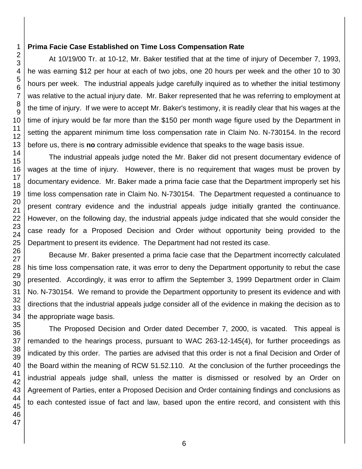### **Prima Facie Case Established on Time Loss Compensation Rate**

At 10/19/00 Tr. at 10-12, Mr. Baker testified that at the time of injury of December 7, 1993, he was earning \$12 per hour at each of two jobs, one 20 hours per week and the other 10 to 30 hours per week. The industrial appeals judge carefully inquired as to whether the initial testimony was relative to the actual injury date. Mr. Baker represented that he was referring to employment at the time of injury. If we were to accept Mr. Baker's testimony, it is readily clear that his wages at the time of injury would be far more than the \$150 per month wage figure used by the Department in setting the apparent minimum time loss compensation rate in Claim No. N-730154. In the record before us, there is **no** contrary admissible evidence that speaks to the wage basis issue.

The industrial appeals judge noted the Mr. Baker did not present documentary evidence of wages at the time of injury. However, there is no requirement that wages must be proven by documentary evidence. Mr. Baker made a prima facie case that the Department improperly set his time loss compensation rate in Claim No. N-730154. The Department requested a continuance to present contrary evidence and the industrial appeals judge initially granted the continuance. However, on the following day, the industrial appeals judge indicated that she would consider the case ready for a Proposed Decision and Order without opportunity being provided to the Department to present its evidence. The Department had not rested its case.

Because Mr. Baker presented a prima facie case that the Department incorrectly calculated his time loss compensation rate, it was error to deny the Department opportunity to rebut the case presented. Accordingly, it was error to affirm the September 3, 1999 Department order in Claim No. N-730154. We remand to provide the Department opportunity to present its evidence and with directions that the industrial appeals judge consider all of the evidence in making the decision as to the appropriate wage basis.

The Proposed Decision and Order dated December 7, 2000, is vacated. This appeal is remanded to the hearings process, pursuant to WAC 263-12-145(4), for further proceedings as indicated by this order. The parties are advised that this order is not a final Decision and Order of the Board within the meaning of RCW 51.52.110. At the conclusion of the further proceedings the industrial appeals judge shall, unless the matter is dismissed or resolved by an Order on Agreement of Parties, enter a Proposed Decision and Order containing findings and conclusions as to each contested issue of fact and law, based upon the entire record, and consistent with this